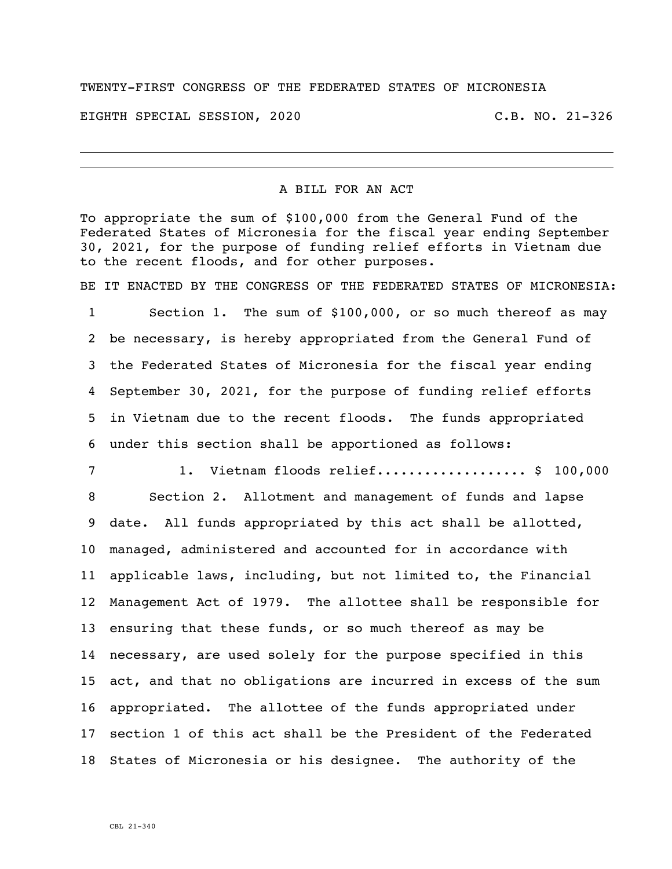## TWENTY-FIRST CONGRESS OF THE FEDERATED STATES OF MICRONESIA

EIGHTH SPECIAL SESSION, 2020 C.B. NO. 21-326

## A BILL FOR AN ACT

To appropriate the sum of \$100,000 from the General Fund of the Federated States of Micronesia for the fiscal year ending September 30, 2021, for the purpose of funding relief efforts in Vietnam due to the recent floods, and for other purposes.

BE IT ENACTED BY THE CONGRESS OF THE FEDERATED STATES OF MICRONESIA: Section 1. The sum of \$100,000, or so much thereof as may be necessary, is hereby appropriated from the General Fund of the Federated States of Micronesia for the fiscal year ending September 30, 2021, for the purpose of funding relief efforts in Vietnam due to the recent floods. The funds appropriated under this section shall be apportioned as follows:

 1. Vietnam floods relief................... \$ 100,000 Section 2. Allotment and management of funds and lapse date. All funds appropriated by this act shall be allotted, managed, administered and accounted for in accordance with applicable laws, including, but not limited to, the Financial Management Act of 1979. The allottee shall be responsible for ensuring that these funds, or so much thereof as may be necessary, are used solely for the purpose specified in this act, and that no obligations are incurred in excess of the sum appropriated. The allottee of the funds appropriated under section 1 of this act shall be the President of the Federated States of Micronesia or his designee. The authority of the